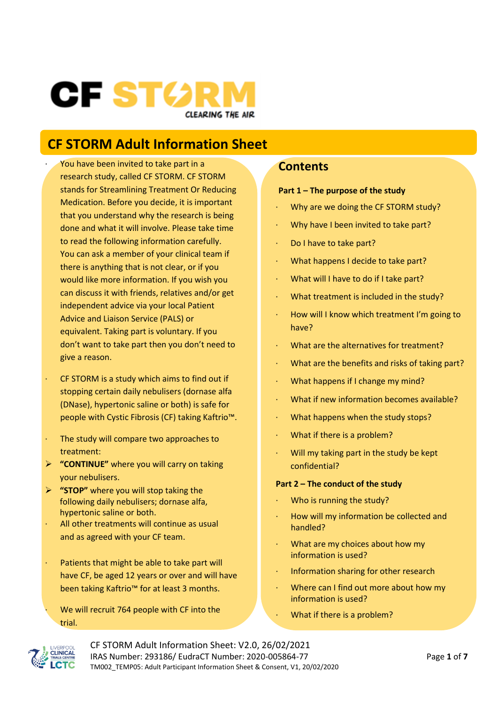# CF STØR **CLEARING THE AIR**

# **CF STORM Adult Information Sheet**

- You have been invited to take part in a research study, called CF STORM. CF STORM stands for Streamlining Treatment Or Reducing Medication. Before you decide, it is important that you understand why the research is being done and what it will involve. Please take time to read the following information carefully. You can ask a member of your clinical team if there is anything that is not clear, or if you would like more information. If you wish you can discuss it with friends, relatives and/or get independent advice via your local Patient Advice and Liaison Service (PALS) or equivalent. Taking part is voluntary. If you don't want to take part then you don't need to give a reason.
- CF STORM is a study which aims to find out if stopping certain daily nebulisers (dornase alfa (DNase), hypertonic saline or both) is safe for people with Cystic Fibrosis (CF) taking Kaftrio™.
- The study will compare two approaches to treatment:
- ➢ **"CONTINUE"** where you will carry on taking your nebulisers.
- ➢ **"STOP"** where you will stop taking the following daily nebulisers; dornase alfa, hypertonic saline or both.
- · All other treatments will continue as usual and as agreed with your CF team.
- Patients that might be able to take part will have CF, be aged 12 years or over and will have been taking Kaftrio™ for at least 3 months.

We will recruit 764 people with CF into the trial.

#### **Contents**

#### **Part 1 – The purpose of the study**

- Why are we doing the CF STORM study?
- Why have I been invited to take part?
- Do I have to take part?
- · What happens I decide to take part?
- · What will I have to do if I take part?
- · What treatment is included in the study?
- · How will I know which treatment I'm going to have?
- What are the alternatives for treatment?
- · What are the benefits and risks of taking part?
- · What happens if I change my mind?
- · What if new information becomes available?
- · What happens when the study stops?
- What if there is a problem?
- Will my taking part in the study be kept confidential?

#### **Part 2 – The conduct of the study**

- Who is running the study?
- · How will my information be collected and handled?
- · What are my choices about how my information is used?
- Information sharing for other research
- · Where can I find out more about how my information is used?
	- What if there is a problem?



CF STORM Adult Information Sheet: V2.0, 26/02/2021 IRAS Number: 293186/ EudraCT Number: 2020-005864-77 Page **1** of **7** TM002\_TEMP05: Adult Participant Information Sheet & Consent, V1, 20/02/2020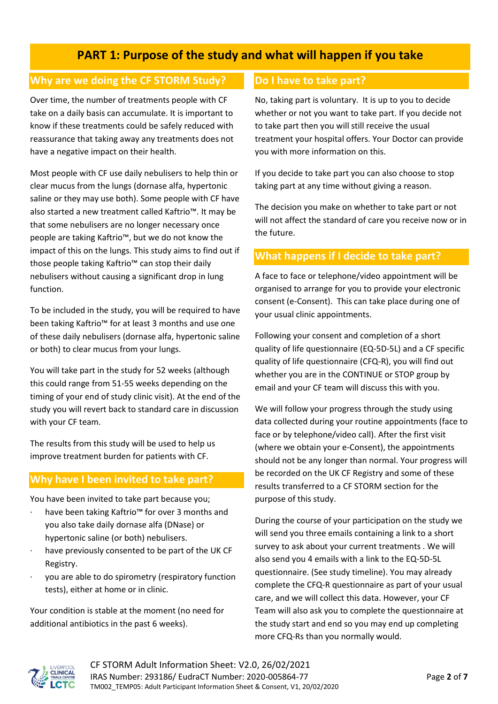# **PART 1: Purpose of the study and what will happen if you take**

#### **Why are we doing the CF STORM Study?**

Over time, the number of treatments people with CF take on a daily basis can accumulate. It is important to know if these treatments could be safely reduced with reassurance that taking away any treatments does not have a negative impact on their health.

Most people with CF use daily nebulisers to help thin or clear mucus from the lungs (dornase alfa, hypertonic saline or they may use both). Some people with CF have also started a new treatment called Kaftrio™. It may be that some nebulisers are no longer necessary once people are taking Kaftrio™, but we do not know the impact of this on the lungs. This study aims to find out if those people taking Kaftrio™ can stop their daily nebulisers without causing a significant drop in lung function.

To be included in the study, you will be required to have been taking Kaftrio™ for at least 3 months and use one of these daily nebulisers (dornase alfa, hypertonic saline or both) to clear mucus from your lungs.

You will take part in the study for 52 weeks (although this could range from 51-55 weeks depending on the timing of your end of study clinic visit). At the end of the study you will revert back to standard care in discussion with your CF team.

The results from this study will be used to help us improve treatment burden for patients with CF.

### **Why have I been invited to take part?**

You have been invited to take part because you;

- have been taking Kaftrio™ for over 3 months and you also take daily dornase alfa (DNase) or hypertonic saline (or both) nebulisers.
- have previously consented to be part of the UK CF Registry.
- you are able to do spirometry (respiratory function tests), either at home or in clinic.

Your condition is stable at the moment (no need for additional antibiotics in the past 6 weeks).

#### **Do I have to take part?**

No, taking part is voluntary. It is up to you to decide whether or not you want to take part. If you decide not to take part then you will still receive the usual treatment your hospital offers. Your Doctor can provide you with more information on this.

If you decide to take part you can also choose to stop taking part at any time without giving a reason.

The decision you make on whether to take part or not will not affect the standard of care you receive now or in the future.

#### **What happens if I decide to take part?**

A face to face or telephone/video appointment will be organised to arrange for you to provide your electronic consent (e-Consent). This can take place during one of your usual clinic appointments.

Following your consent and completion of a short quality of life questionnaire (EQ-5D-5L) and a CF specific quality of life questionnaire (CFQ-R), you will find out whether you are in the CONTINUE or STOP group by email and your CF team will discuss this with you.

We will follow your progress through the study using data collected during your routine appointments (face to face or by telephone/video call). After the first visit (where we obtain your e-Consent), the appointments should not be any longer than normal. Your progress will be recorded on the UK CF Registry and some of these results transferred to a CF STORM section for the purpose of this study.

During the course of your participation on the study we will send you three emails containing a link to a short survey to ask about your current treatments . We will also send you 4 emails with a link to the EQ-5D-5L questionnaire. (See study timeline). You may already complete the CFQ-R questionnaire as part of your usual care, and we will collect this data. However, your CF Team will also ask you to complete the questionnaire at the study start and end so you may end up completing more CFQ-Rs than you normally would.

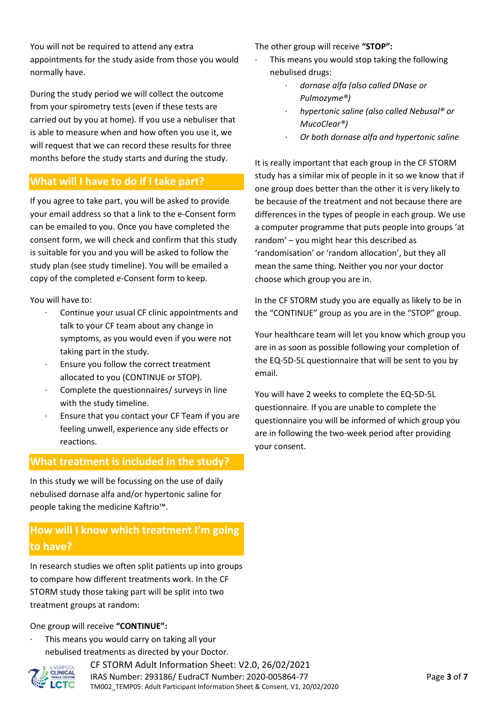You will not be required to attend any extra appointments for the study aside from those you would normally have.

During the study period we will collect the outcome from your spirometry tests (even if these tests are carried out by you at home). If you use a nebuliser that is able to measure when and how often you use it, we will request that we can record these results for three months before the study starts and during the study.

#### **What will I have to do if I take part?**

If you agree to take part, you will be asked to provide your email address so that a link to the e-Consent form can be emailed to you. Once you have completed the consent form, we will check and confirm that this study is suitable for you and you will be asked to follow the study plan (see study timeline). You will be emailed a copy of the completed e-Consent form to keep.

You will have to:

- Continue your usual CF clinic appointments and talk to your CF team about any change in symptoms, as you would even if you were not taking part in the study.
- · Ensure you follow the correct treatment allocated to you (CONTINUE or STOP).
- Complete the questionnaires/ surveys in line with the study timeline.
- Ensure that you contact your CF Team if you are feeling unwell, experience any side effects or reactions.

#### **What treatment is included in the study?**

In this study we will be focussing on the use of daily nebulised dornase alfa and/or hypertonic saline for people taking the medicine Kaftrio™.

## **How will I know which treatment I'm going to have?**

In research studies we often split patients up into groups to compare how different treatments work. In the CF STORM study those taking part will be split into two treatment groups at random:

#### One group will receive **"CONTINUE":**

This means you would carry on taking all your nebulised treatments as directed by your Doctor.



CF STORM Adult Information Sheet: V2.0, 26/02/2021 IRAS Number: 293186/ EudraCT Number: 2020-005864-77 Page **3** of **7** TM002\_TEMP05: Adult Participant Information Sheet & Consent, V1, 20/02/2020

The other group will receive **"STOP":**

- This means you would stop taking the following nebulised drugs:
	- · *dornase alfa (also called DNase or Pulmozyme®)*
	- · *hypertonic saline (also called Nebusal® or MucoClear®)*
	- · *Or both dornase alfa and hypertonic saline*

It is really important that each group in the CF STORM study has a similar mix of people in it so we know that if one group does better than the other it is very likely to be because of the treatment and not because there are differences in the types of people in each group. We use a computer programme that puts people into groups 'at random' – you might hear this described as 'randomisation' or 'random allocation', but they all mean the same thing. Neither you nor your doctor choose which group you are in.

In the CF STORM study you are equally as likely to be in the "CONTINUE" group as you are in the "STOP" group.

Your healthcare team will let you know which group you are in as soon as possible following your completion of the EQ-5D-5L questionnaire that will be sent to you by email.

You will have 2 weeks to complete the EQ-5D-5L questionnaire. If you are unable to complete the questionnaire you will be informed of which group you are in following the two-week period after providing your consent.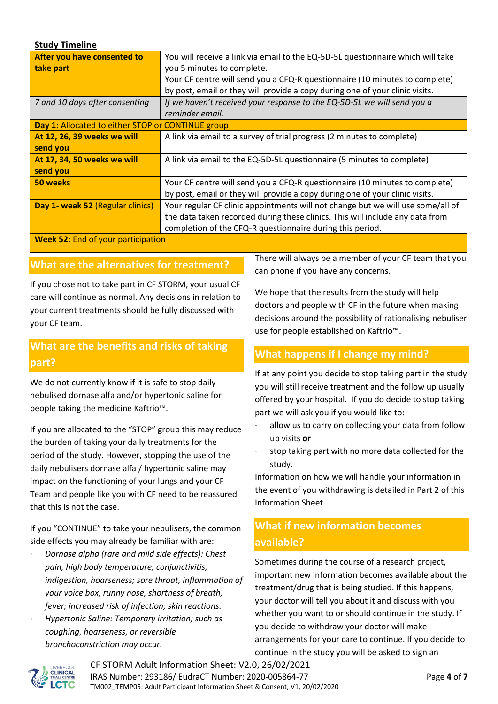| <b>Study Timeline</b>                             |                                                                                 |
|---------------------------------------------------|---------------------------------------------------------------------------------|
| After you have consented to                       | You will receive a link via email to the EQ-5D-5L questionnaire which will take |
| take part                                         | you 5 minutes to complete.                                                      |
|                                                   | Your CF centre will send you a CFQ-R questionnaire (10 minutes to complete)     |
|                                                   | by post, email or they will provide a copy during one of your clinic visits.    |
| 7 and 10 days after consenting                    | If we haven't received your response to the EQ-5D-5L we will send you a         |
|                                                   | reminder email.                                                                 |
| Day 1: Allocated to either STOP or CONTINUE group |                                                                                 |
| At 12, 26, 39 weeks we will                       | A link via email to a survey of trial progress (2 minutes to complete)          |
| send you                                          |                                                                                 |
| At 17, 34, 50 weeks we will                       | A link via email to the EQ-5D-5L questionnaire (5 minutes to complete)          |
| send you                                          |                                                                                 |
| 50 weeks                                          | Your CF centre will send you a CFQ-R questionnaire (10 minutes to complete)     |
|                                                   | by post, email or they will provide a copy during one of your clinic visits.    |
| Day 1- week 52 (Regular clinics)                  | Your regular CF clinic appointments will not change but we will use some/all of |
|                                                   | the data taken recorded during these clinics. This will include any data from   |
|                                                   | completion of the CFQ-R questionnaire during this period.                       |

**Week 52:** End of your participation

#### **What are the alternatives for treatment?**

If you chose not to take part in CF STORM, your usual CF care will continue as normal. Any decisions in relation to your current treatments should be fully discussed with your CF team.

## **What are the benefits and risks of taking part?**

We do not currently know if it is safe to stop daily nebulised dornase alfa and/or hypertonic saline for people taking the medicine Kaftrio™.

If you are allocated to the "STOP" group this may reduce the burden of taking your daily treatments for the period of the study. However, stopping the use of the daily nebulisers dornase alfa / hypertonic saline may impact on the functioning of your lungs and your CF Team and people like you with CF need to be reassured that this is not the case.

If you "CONTINUE" to take your nebulisers, the common side effects you may already be familiar with are:

- · *Dornase alpha (rare and mild side effects): Chest pain, high body temperature, conjunctivitis, indigestion, hoarseness; sore throat, inflammation of your voice box, runny nose, shortness of breath; fever; increased risk of infection; skin reactions.*
- · *Hypertonic Saline: Temporary irritation; such as coughing, hoarseness, or reversible bronchoconstriction may occur.*

There will always be a member of your CF team that you can phone if you have any concerns.

We hope that the results from the study will help doctors and people with CF in the future when making decisions around the possibility of rationalising nebuliser use for people established on Kaftrio™.

#### **What happens if I change my mind?**

If at any point you decide to stop taking part in the study you will still receive treatment and the follow up usually offered by your hospital. If you do decide to stop taking part we will ask you if you would like to:

- allow us to carry on collecting your data from follow up visits **or**
- stop taking part with no more data collected for the study.

Information on how we will handle your information in the event of you withdrawing is detailed in Part 2 of this Information Sheet.

# **What if new information becomes available?**

Sometimes during the course of a research project, important new information becomes available about the treatment/drug that is being studied. If this happens, your doctor will tell you about it and discuss with you whether you want to or should continue in the study. If you decide to withdraw your doctor will make arrangements for your care to continue. If you decide to continue in the study you will be asked to sign an



CF STORM Adult Information Sheet: V2.0, 26/02/2021 IRAS Number: 293186/ EudraCT Number: 2020-005864-77 Page **4** of **7** TM002\_TEMP05: Adult Participant Information Sheet & Consent, V1, 20/02/2020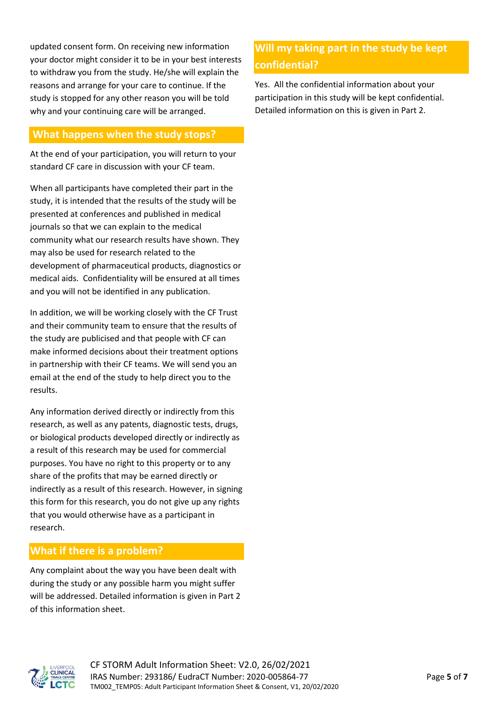updated consent form. On receiving new information your doctor might consider it to be in your best interests to withdraw you from the study. He/she will explain the reasons and arrange for your care to continue. If the study is stopped for any other reason you will be told why and your continuing care will be arranged.

### **What happens when the study stops?**

At the end of your participation, you will return to your standard CF care in discussion with your CF team.

When all participants have completed their part in the study, it is intended that the results of the study will be presented at conferences and published in medical journals so that we can explain to the medical community what our research results have shown. They may also be used for research related to the development of pharmaceutical products, diagnostics or medical aids. Confidentiality will be ensured at all times and you will not be identified in any publication.

In addition, we will be working closely with the CF Trust and their community team to ensure that the results of the study are publicised and that people with CF can make informed decisions about their treatment options in partnership with their CF teams. We will send you an email at the end of the study to help direct you to the results.

Any information derived directly or indirectly from this research, as well as any patents, diagnostic tests, drugs, or biological products developed directly or indirectly as a result of this research may be used for commercial purposes. You have no right to this property or to any share of the profits that may be earned directly or indirectly as a result of this research. However, in signing this form for this research, you do not give up any rights that you would otherwise have as a participant in research.

## **What if there is a problem?**

Any complaint about the way you have been dealt with during the study or any possible harm you might suffer will be addressed. Detailed information is given in Part 2 of this information sheet.

# **Will my taking part in the study be kept confidential?**

Yes. All the confidential information about your participation in this study will be kept confidential. Detailed information on this is given in Part 2.

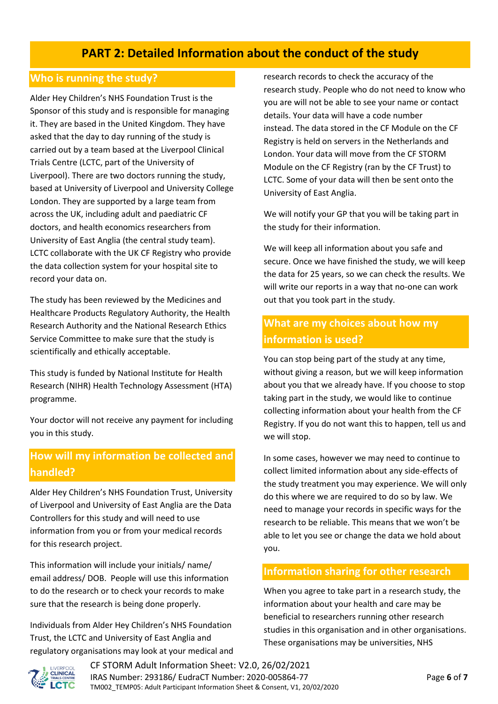# **PART 2: Detailed Information about the conduct of the study**

#### **Who is running the study?**

Alder Hey Children's NHS Foundation Trust is the Sponsor of this study and is responsible for managing it. They are based in the United Kingdom. They have asked that the day to day running of the study is carried out by a team based at the Liverpool Clinical Trials Centre (LCTC, part of the University of Liverpool). There are two doctors running the study, based at University of Liverpool and University College London. They are supported by a large team from across the UK, including adult and paediatric CF doctors, and health economics researchers from University of East Anglia (the central study team). LCTC collaborate with the UK CF Registry who provide the data collection system for your hospital site to record your data on.

The study has been reviewed by the Medicines and Healthcare Products Regulatory Authority, the Health Research Authority and the National Research Ethics Service Committee to make sure that the study is scientifically and ethically acceptable.

This study is funded by National Institute for Health Research (NIHR) Health Technology Assessment (HTA) programme.

Your doctor will not receive any payment for including you in this study.

# **How will my information be collected and handled?**

Alder Hey Children's NHS Foundation Trust, University of Liverpool and University of East Anglia are the Data Controllers for this study and will need to use information from you or from your medical records for this research project.

This information will include your initials/ name/ email address/ DOB. People will use this information to do the research or to check your records to make sure that the research is being done properly.

Individuals from Alder Hey Children's NHS Foundation Trust, the LCTC and University of East Anglia and regulatory organisations may look at your medical and research records to check the accuracy of the research study. People who do not need to know who you are will not be able to see your name or contact details. Your data will have a code number instead. The data stored in the CF Module on the CF Registry is held on servers in the Netherlands and London. Your data will move from the CF STORM Module on the CF Registry (ran by the CF Trust) to LCTC. Some of your data will then be sent onto the University of East Anglia.

We will notify your GP that you will be taking part in the study for their information.

We will keep all information about you safe and secure. Once we have finished the study, we will keep the data for 25 years, so we can check the results. We will write our reports in a way that no-one can work out that you took part in the study.

# **What are my choices about how my information is used?**

You can stop being part of the study at any time, without giving a reason, but we will keep information about you that we already have. If you choose to stop taking part in the study, we would like to continue collecting information about your health from the CF Registry. If you do not want this to happen, tell us and we will stop.

In some cases, however we may need to continue to collect limited information about any side-effects of the study treatment you may experience. We will only do this where we are required to do so by law. We need to manage your records in specific ways for the research to be reliable. This means that we won't be able to let you see or change the data we hold about you.

#### **Information sharing for other research**

When you agree to take part in a research study, the information about your health and care may be beneficial to researchers running other research studies in this organisation and in other organisations. These organisations may be universities, NHS